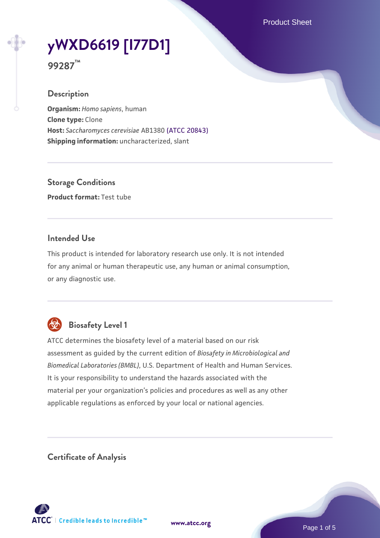Product Sheet

# **[yWXD6619 \[I77D1\]](https://www.atcc.org/products/99287)**

**99287™**

#### **Description**

**Organism:** *Homo sapiens*, human **Clone type:** Clone **Host:** *Saccharomyces cerevisiae* AB1380 [\(ATCC 20843\)](https://www.atcc.org/products/20843) **Shipping information:** uncharacterized, slant

**Storage Conditions Product format:** Test tube

## **Intended Use**

This product is intended for laboratory research use only. It is not intended for any animal or human therapeutic use, any human or animal consumption, or any diagnostic use.



# **Biosafety Level 1**

ATCC determines the biosafety level of a material based on our risk assessment as guided by the current edition of *Biosafety in Microbiological and Biomedical Laboratories (BMBL)*, U.S. Department of Health and Human Services. It is your responsibility to understand the hazards associated with the material per your organization's policies and procedures as well as any other applicable regulations as enforced by your local or national agencies.

**Certificate of Analysis**

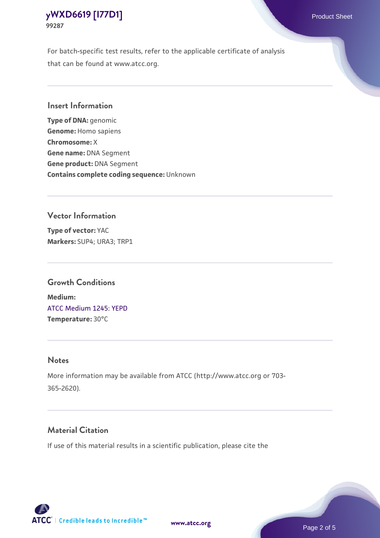For batch-specific test results, refer to the applicable certificate of analysis that can be found at www.atcc.org.

#### **Insert Information**

**Type of DNA:** genomic **Genome:** Homo sapiens **Chromosome:** X **Gene name:** DNA Segment **Gene product:** DNA Segment **Contains complete coding sequence:** Unknown

#### **Vector Information**

**Type of vector:** YAC **Markers:** SUP4; URA3; TRP1

#### **Growth Conditions**

**Medium:**  [ATCC Medium 1245: YEPD](https://www.atcc.org/-/media/product-assets/documents/microbial-media-formulations/1/2/4/5/atcc-medium-1245.pdf?rev=705ca55d1b6f490a808a965d5c072196) **Temperature:** 30°C

#### **Notes**

More information may be available from ATCC (http://www.atcc.org or 703- 365-2620).

## **Material Citation**

If use of this material results in a scientific publication, please cite the

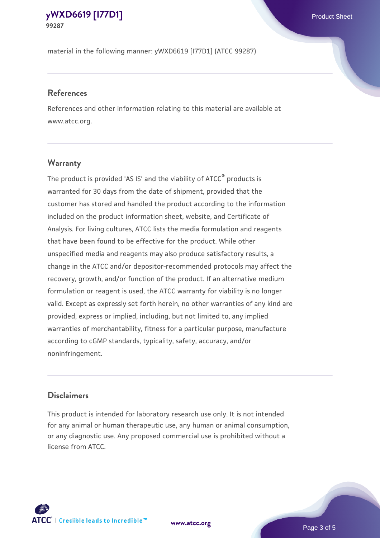material in the following manner: yWXD6619 [I77D1] (ATCC 99287)

#### **References**

References and other information relating to this material are available at www.atcc.org.

## **Warranty**

The product is provided 'AS IS' and the viability of ATCC® products is warranted for 30 days from the date of shipment, provided that the customer has stored and handled the product according to the information included on the product information sheet, website, and Certificate of Analysis. For living cultures, ATCC lists the media formulation and reagents that have been found to be effective for the product. While other unspecified media and reagents may also produce satisfactory results, a change in the ATCC and/or depositor-recommended protocols may affect the recovery, growth, and/or function of the product. If an alternative medium formulation or reagent is used, the ATCC warranty for viability is no longer valid. Except as expressly set forth herein, no other warranties of any kind are provided, express or implied, including, but not limited to, any implied warranties of merchantability, fitness for a particular purpose, manufacture according to cGMP standards, typicality, safety, accuracy, and/or noninfringement.

#### **Disclaimers**

This product is intended for laboratory research use only. It is not intended for any animal or human therapeutic use, any human or animal consumption, or any diagnostic use. Any proposed commercial use is prohibited without a license from ATCC.

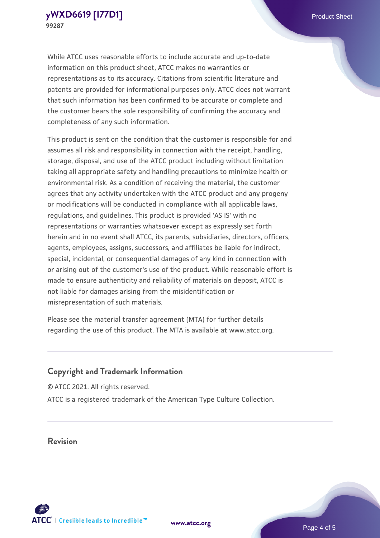While ATCC uses reasonable efforts to include accurate and up-to-date information on this product sheet, ATCC makes no warranties or representations as to its accuracy. Citations from scientific literature and patents are provided for informational purposes only. ATCC does not warrant that such information has been confirmed to be accurate or complete and the customer bears the sole responsibility of confirming the accuracy and completeness of any such information.

This product is sent on the condition that the customer is responsible for and assumes all risk and responsibility in connection with the receipt, handling, storage, disposal, and use of the ATCC product including without limitation taking all appropriate safety and handling precautions to minimize health or environmental risk. As a condition of receiving the material, the customer agrees that any activity undertaken with the ATCC product and any progeny or modifications will be conducted in compliance with all applicable laws, regulations, and guidelines. This product is provided 'AS IS' with no representations or warranties whatsoever except as expressly set forth herein and in no event shall ATCC, its parents, subsidiaries, directors, officers, agents, employees, assigns, successors, and affiliates be liable for indirect, special, incidental, or consequential damages of any kind in connection with or arising out of the customer's use of the product. While reasonable effort is made to ensure authenticity and reliability of materials on deposit, ATCC is not liable for damages arising from the misidentification or misrepresentation of such materials.

Please see the material transfer agreement (MTA) for further details regarding the use of this product. The MTA is available at www.atcc.org.

## **Copyright and Trademark Information**

© ATCC 2021. All rights reserved. ATCC is a registered trademark of the American Type Culture Collection.

## **Revision**



**[www.atcc.org](http://www.atcc.org)**